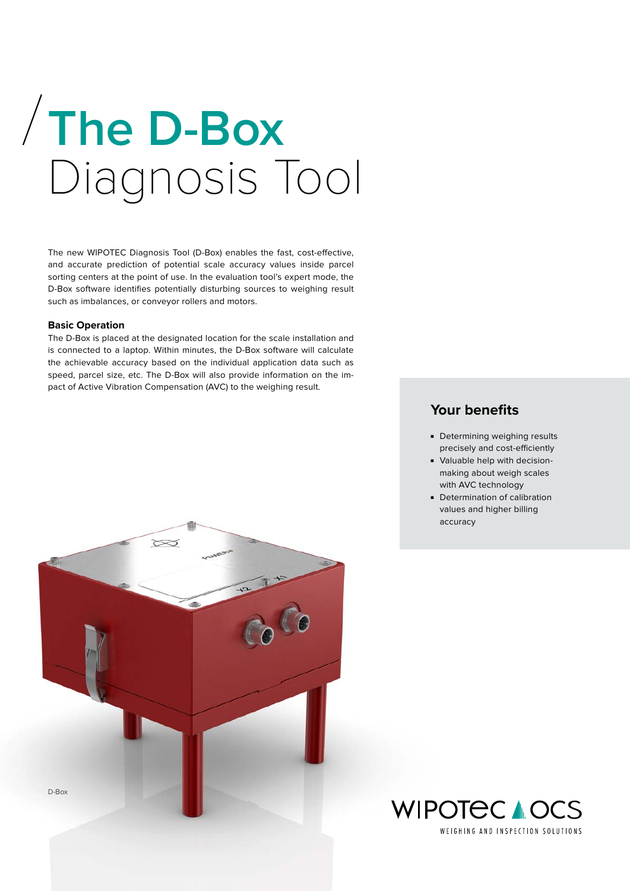# **The D-Box**  Diagnosis Tool

The new WIPOTEC Diagnosis Tool (D-Box) enables the fast, cost-effective, and accurate prediction of potential scale accuracy values inside parcel sorting centers at the point of use. In the evaluation tool's expert mode, the D-Box software identifies potentially disturbing sources to weighing result such as imbalances, or conveyor rollers and motors.

# **Basic Operation**

The D-Box is placed at the designated location for the scale installation and is connected to a laptop. Within minutes, the D-Box software will calculate the achievable accuracy based on the individual application data such as speed, parcel size, etc. The D-Box will also provide information on the impact of Active Vibration Compensation (AVC) to the weighing result.



- Determining weighing results precisely and cost-efficiently
- Valuable help with decisionmaking about weigh scales with AVC technology
- Determination of calibration values and higher billing accuracy